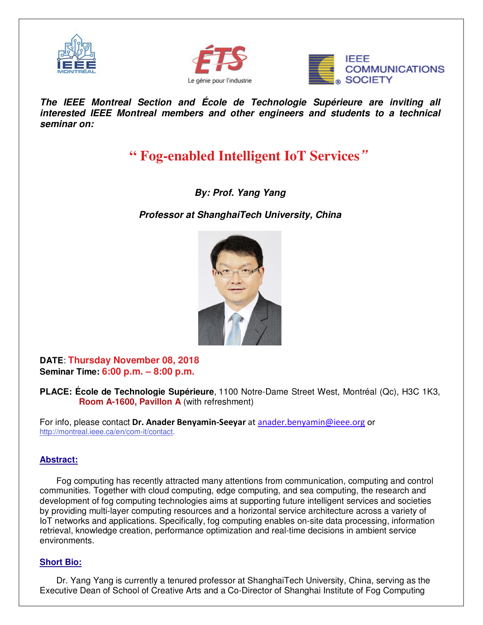





**The IEEE Montreal Section and École de Technologie Supérieure are inviting all interested IEEE Montreal members and other engineers and students to a technical seminar on:** 

## **" Fog-enabled Intelligent IoT Services"**

**By: Prof. Yang Yang** 

**Professor at ShanghaiTech University, China** 



**DATE**: **Thursday November 08, 2018 Seminar Time: 6:00 p.m. – 8:00 p.m.**

**PLACE: École de Technologie Supérieure**, 1100 Notre-Dame Street West, Montréal (Qc), H3C 1K3, **Room A-1600, Pavillon A** (with refreshment)

For info, please contact **Dr. Anader Benyamin-Seeyar** at anader.benyamin@ieee.org or http://montreal.ieee.ca/en/com-it/contact.

## **Abstract:**

Fog computing has recently attracted many attentions from communication, computing and control communities. Together with cloud computing, edge computing, and sea computing, the research and development of fog computing technologies aims at supporting future intelligent services and societies by providing multi-layer computing resources and a horizontal service architecture across a variety of IoT networks and applications. Specifically, fog computing enables on-site data processing, information retrieval, knowledge creation, performance optimization and real-time decisions in ambient service environments.

## **Short Bio:**

Dr. Yang Yang is currently a tenured professor at ShanghaiTech University, China, serving as the Executive Dean of School of Creative Arts and a Co-Director of Shanghai Institute of Fog Computing